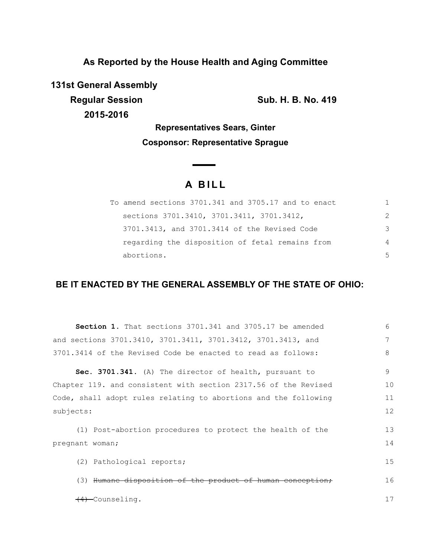**As Reported by the House Health and Aging Committee**

**131st General Assembly**

**Regular Session Sub. H. B. No. 419** 

**2015-2016**

**Representatives Sears, Ginter Cosponsor: Representative Sprague**

 $\overline{\phantom{0}}$ 

# **A B I L L**

| To amend sections 3701.341 and 3705.17 and to enact |                |
|-----------------------------------------------------|----------------|
| sections 3701.3410, 3701.3411, 3701.3412,           | $\mathcal{P}$  |
| 3701.3413, and 3701.3414 of the Revised Code        | 3              |
| regarding the disposition of fetal remains from     | $\overline{4}$ |
| abortions.                                          | 5              |

## **BE IT ENACTED BY THE GENERAL ASSEMBLY OF THE STATE OF OHIO:**

| <b>Section 1.</b> That sections 3701.341 and 3705.17 be amended | 6  |
|-----------------------------------------------------------------|----|
| and sections 3701.3410, 3701.3411, 3701.3412, 3701.3413, and    | 7  |
| 3701.3414 of the Revised Code be enacted to read as follows:    | 8  |
| Sec. 3701.341. (A) The director of health, pursuant to          | 9  |
| Chapter 119. and consistent with section 2317.56 of the Revised | 10 |
| Code, shall adopt rules relating to abortions and the following | 11 |
| subjects:                                                       | 12 |
| (1) Post-abortion procedures to protect the health of the       | 13 |
| pregnant woman;                                                 | 14 |
| (2) Pathological reports;                                       | 15 |
| (3) Humane disposition of the product of human conception;      | 16 |
| <del>(4)</del> Counseling.                                      | 17 |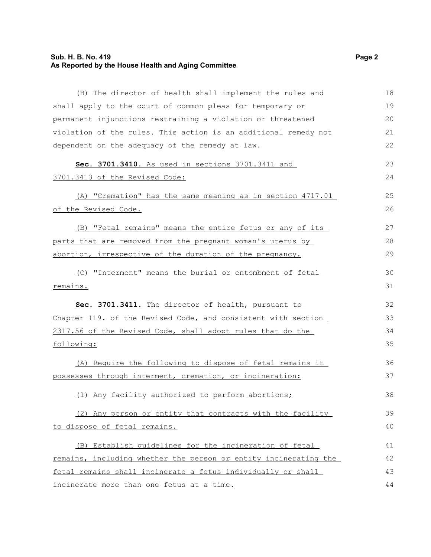## **Sub. H. B. No. 419 Page 2 As Reported by the House Health and Aging Committee**

| (B) The director of health shall implement the rules and         | 18 |
|------------------------------------------------------------------|----|
| shall apply to the court of common pleas for temporary or        | 19 |
| permanent injunctions restraining a violation or threatened      | 20 |
| violation of the rules. This action is an additional remedy not  | 21 |
| dependent on the adequacy of the remedy at law.                  | 22 |
| Sec. 3701.3410. As used in sections 3701.3411 and                | 23 |
| 3701.3413 of the Revised Code:                                   | 24 |
| (A) "Cremation" has the same meaning as in section 4717.01       | 25 |
| of the Revised Code.                                             | 26 |
| (B) "Fetal remains" means the entire fetus or any of its         | 27 |
| parts that are removed from the pregnant woman's uterus by       | 28 |
| abortion, irrespective of the duration of the pregnancy.         | 29 |
| (C) "Interment" means the burial or entombment of fetal          | 30 |
| remains.                                                         | 31 |
| Sec. 3701.3411. The director of health, pursuant to              | 32 |
| Chapter 119. of the Revised Code, and consistent with section    | 33 |
| 2317.56 of the Revised Code, shall adopt rules that do the       | 34 |
| following:                                                       | 35 |
| (A) Require the following to dispose of fetal remains it         | 36 |
| possesses through interment, cremation, or incineration:         | 37 |
| (1) Any facility authorized to perform abortions;                | 38 |
| (2) Any person or entity that contracts with the facility        | 39 |
| to dispose of fetal remains.                                     | 40 |
| (B) Establish quidelines for the incineration of fetal           | 41 |
| remains, including whether the person or entity incinerating the | 42 |
| fetal remains shall incinerate a fetus individually or shall     | 43 |
| incinerate more than one fetus at a time.                        | 44 |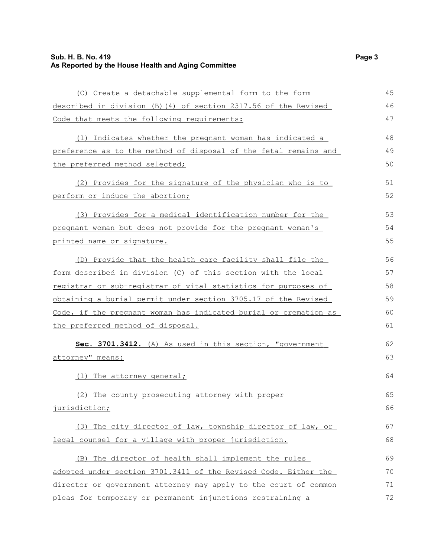## **Sub. H. B. No. 419 Page 3 As Reported by the House Health and Aging Committee**

| (C) Create a detachable supplemental form to the form            | 45 |
|------------------------------------------------------------------|----|
| described in division (B) (4) of section 2317.56 of the Revised  | 46 |
| Code that meets the following requirements:                      | 47 |
| (1) Indicates whether the pregnant woman has indicated a         | 48 |
| preference as to the method of disposal of the fetal remains and | 49 |
| the preferred method selected;                                   | 50 |
| (2) Provides for the signature of the physician who is to        | 51 |
| perform or induce the abortion;                                  | 52 |
| (3) Provides for a medical identification number for the         | 53 |
| pregnant woman but does not provide for the pregnant woman's     | 54 |
| printed name or signature.                                       | 55 |
| (D) Provide that the health care facility shall file the         | 56 |
| form described in division (C) of this section with the local    | 57 |
| registrar or sub-registrar of vital statistics for purposes of   | 58 |
| obtaining a burial permit under section 3705.17 of the Revised   | 59 |
| Code, if the pregnant woman has indicated burial or cremation as | 60 |
| the preferred method of disposal.                                | 61 |
| Sec. 3701.3412. (A) As used in this section, "government         | 62 |
| attorney" means:                                                 | 63 |
| (1) The attorney general;                                        | 64 |
| (2) The county prosecuting attorney with proper                  | 65 |
| jurisdiction;                                                    | 66 |
| (3) The city director of law, township director of law, or       | 67 |
| legal counsel for a village with proper jurisdiction.            | 68 |
| (B) The director of health shall implement the rules             | 69 |
| adopted under section 3701.3411 of the Revised Code. Either the  | 70 |
| director or government attorney may apply to the court of common | 71 |
| pleas for temporary or permanent injunctions restraining a       | 72 |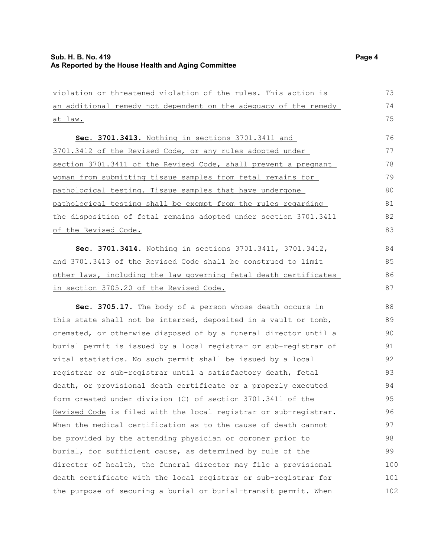violation or threatened violation of the rules. This action is an additional remedy not dependent on the adequacy of the remedy at law. **Sec. 3701.3413.** Nothing in sections 3701.3411 and 3701.3412 of the Revised Code, or any rules adopted under section 3701.3411 of the Revised Code, shall prevent a pregnant woman from submitting tissue samples from fetal remains for pathological testing. Tissue samples that have undergone pathological testing shall be exempt from the rules regarding the disposition of fetal remains adopted under section 3701.3411 of the Revised Code. **Sec. 3701.3414.** Nothing in sections 3701.3411, 3701.3412, and 3701.3413 of the Revised Code shall be construed to limit other laws, including the law governing fetal death certificates in section 3705.20 of the Revised Code. **Sec. 3705.17.** The body of a person whose death occurs in this state shall not be interred, deposited in a vault or tomb, cremated, or otherwise disposed of by a funeral director until a burial permit is issued by a local registrar or sub-registrar of vital statistics. No such permit shall be issued by a local registrar or sub-registrar until a satisfactory death, fetal death, or provisional death certificate or a properly executed form created under division (C) of section 3701.3411 of the Revised Code is filed with the local registrar or sub-registrar. When the medical certification as to the cause of death cannot be provided by the attending physician or coroner prior to burial, for sufficient cause, as determined by rule of the director of health, the funeral director may file a provisional death certificate with the local registrar or sub-registrar for the purpose of securing a burial or burial-transit permit. When 73 74 75 76 77 78 79 80 81 82 83 84 85 86 87 88 89 90 91 92 93 94 95 96 97 98 99 100 101 102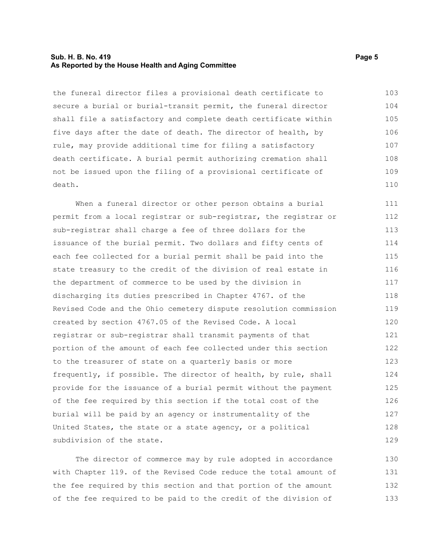#### **Sub. H. B. No. 419 Page 5 As Reported by the House Health and Aging Committee**

the funeral director files a provisional death certificate to secure a burial or burial-transit permit, the funeral director shall file a satisfactory and complete death certificate within five days after the date of death. The director of health, by rule, may provide additional time for filing a satisfactory death certificate. A burial permit authorizing cremation shall not be issued upon the filing of a provisional certificate of death. 103 104 105 106 107 108 109 110

When a funeral director or other person obtains a burial permit from a local registrar or sub-registrar, the registrar or sub-registrar shall charge a fee of three dollars for the issuance of the burial permit. Two dollars and fifty cents of each fee collected for a burial permit shall be paid into the state treasury to the credit of the division of real estate in the department of commerce to be used by the division in discharging its duties prescribed in Chapter 4767. of the Revised Code and the Ohio cemetery dispute resolution commission created by section 4767.05 of the Revised Code. A local registrar or sub-registrar shall transmit payments of that portion of the amount of each fee collected under this section to the treasurer of state on a quarterly basis or more frequently, if possible. The director of health, by rule, shall provide for the issuance of a burial permit without the payment of the fee required by this section if the total cost of the burial will be paid by an agency or instrumentality of the United States, the state or a state agency, or a political subdivision of the state. 111 112 113 114 115 116 117 118 119 120 121 122 123 124 125 126 127 128 129

The director of commerce may by rule adopted in accordance with Chapter 119. of the Revised Code reduce the total amount of the fee required by this section and that portion of the amount of the fee required to be paid to the credit of the division of 130 131 132 133